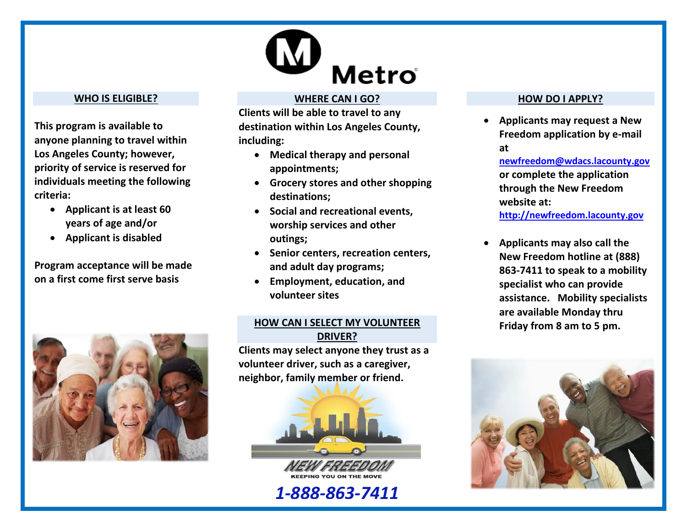

#### **WHO IS ELIGIBLE?**

**This program is available to anyone planning to travel within Los Angeles County; however, priority of service is reserved for individuals meeting the following criteria:** 

- **Applicant is at least 60 years of age and/or**
- **Applicant is disabled**

**Program acceptance will be made on a first come first serve basis**



#### **WHERE CAN I GO?**

**Clients will be able to travel to any destination within Los Angeles County, including:**

- **Medical therapy and personal appointments;**
- **Grocery stores and other shopping destinations;**
- **Social and recreational events, worship services and other outings;**
- **Senior centers, recreation centers, and adult day programs;**
- **Employment, education, and volunteer sites**

#### **HOW CAN I SELECT MY VOLUNTEER DRIVER?**

**Clients may select anyone they trust as a volunteer driver, such as a caregiver, neighbor, family member or friend.** 



*1-888-863-7411*

#### **HOW DO I APPLY?**

 **Applicants may request a New Freedom application by e-mail at** 

**[newfreedom@wdacs.lacounty.gov](mailto:newfreedom@wdacs.lacounty.gov) or complete the application through the New Freedom website at:** 

**[http://newfreedom.lacounty.gov](http://newfreedom.lacounty.gov/)**

 **Applicants may also call the New Freedom hotline at (888) 863-7411 to speak to a mobility specialist who can provide assistance. Mobility specialists are available Monday thru Friday from 8 am to 5 pm.**